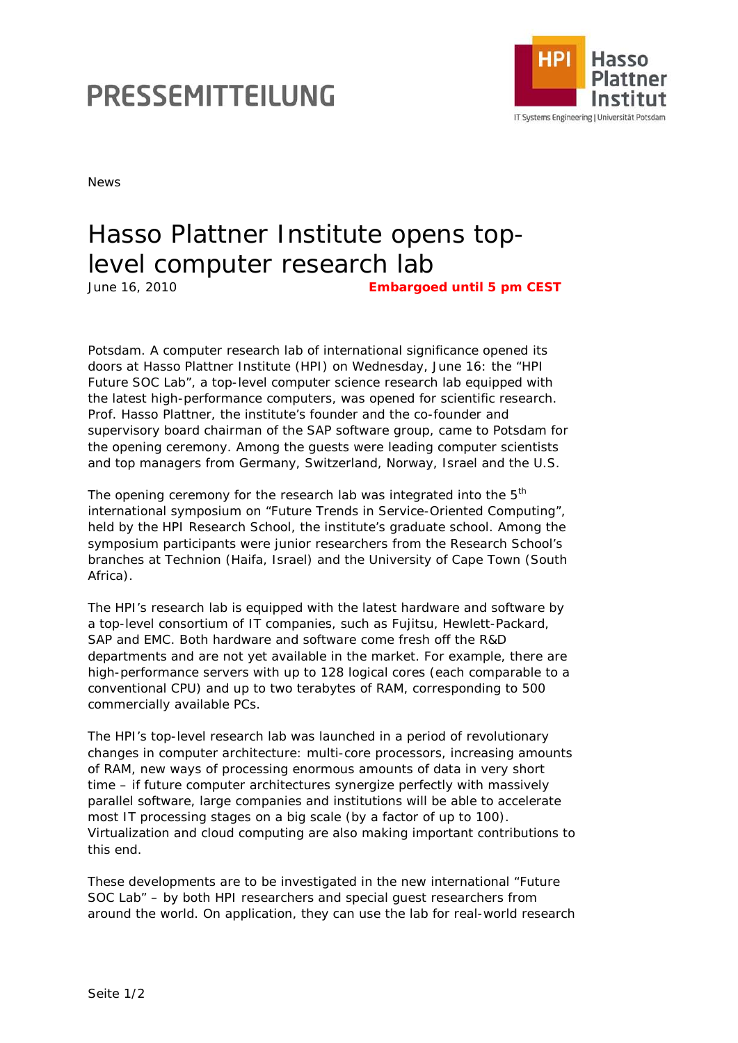## PRESSEMITTEILUNG



News

## Hasso Plattner Institute opens toplevel computer research lab June 16, 2010 **Embargoed until 5 pm CEST**

Potsdam. A computer research lab of international significance opened its doors at Hasso Plattner Institute (HPI) on Wednesday, June 16: the "HPI Future SOC Lab", a top-level computer science research lab equipped with the latest high-performance computers, was opened for scientific research. Prof. Hasso Plattner, the institute's founder and the co-founder and supervisory board chairman of the SAP software group, came to Potsdam for the opening ceremony. Among the guests were leading computer scientists and top managers from Germany, Switzerland, Norway, Israel and the U.S.

The opening ceremony for the research lab was integrated into the  $5<sup>th</sup>$ international symposium on "Future Trends in Service-Oriented Computing", held by the HPI Research School, the institute's graduate school. Among the symposium participants were junior researchers from the Research School's branches at Technion (Haifa, Israel) and the University of Cape Town (South Africa).

The HPI's research lab is equipped with the latest hardware and software by a top-level consortium of IT companies, such as Fujitsu, Hewlett-Packard, SAP and EMC. Both hardware and software come fresh off the R&D departments and are not yet available in the market. For example, there are high-performance servers with up to 128 logical cores (each comparable to a conventional CPU) and up to two terabytes of RAM, corresponding to 500 commercially available PCs.

The HPI's top-level research lab was launched in a period of revolutionary changes in computer architecture: multi-core processors, increasing amounts of RAM, new ways of processing enormous amounts of data in very short time – if future computer architectures synergize perfectly with massively parallel software, large companies and institutions will be able to accelerate most IT processing stages on a big scale (by a factor of up to 100). Virtualization and cloud computing are also making important contributions to this end.

These developments are to be investigated in the new international "Future SOC Lab" – by both HPI researchers and special guest researchers from around the world. On application, they can use the lab for real-world research